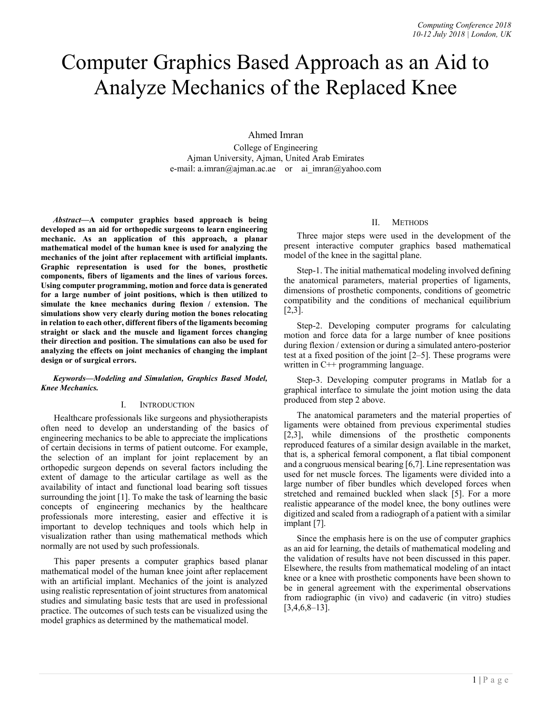# Computer Graphics Based Approach as an Aid to Analyze Mechanics of the Replaced Knee

Ahmed Imran

College of Engineering Ajman University, Ajman, United Arab Emirates e-mail: a.imran@ajman.ac.ae or ai imran@yahoo.com

Abstract—A computer graphics based approach is being developed as an aid for orthopedic surgeons to learn engineering mechanic. As an application of this approach, a planar mathematical model of the human knee is used for analyzing the mechanics of the joint after replacement with artificial implants. Graphic representation is used for the bones, prosthetic components, fibers of ligaments and the lines of various forces. Using computer programming, motion and force data is generated for a large number of joint positions, which is then utilized to simulate the knee mechanics during flexion / extension. The simulations show very clearly during motion the bones relocating in relation to each other, different fibers of the ligaments becoming straight or slack and the muscle and ligament forces changing their direction and position. The simulations can also be used for analyzing the effects on joint mechanics of changing the implant design or of surgical errors.

## Keywords—Modeling and Simulation, Graphics Based Model, Knee Mechanics.

## I. INTRODUCTION

Healthcare professionals like surgeons and physiotherapists often need to develop an understanding of the basics of engineering mechanics to be able to appreciate the implications of certain decisions in terms of patient outcome. For example, the selection of an implant for joint replacement by an orthopedic surgeon depends on several factors including the extent of damage to the articular cartilage as well as the availability of intact and functional load bearing soft tissues surrounding the joint [1]. To make the task of learning the basic concepts of engineering mechanics by the healthcare professionals more interesting, easier and effective it is important to develop techniques and tools which help in visualization rather than using mathematical methods which normally are not used by such professionals.

This paper presents a computer graphics based planar mathematical model of the human knee joint after replacement with an artificial implant. Mechanics of the joint is analyzed using realistic representation of joint structures from anatomical studies and simulating basic tests that are used in professional practice. The outcomes of such tests can be visualized using the model graphics as determined by the mathematical model.

# II. METHODS

Three major steps were used in the development of the present interactive computer graphics based mathematical model of the knee in the sagittal plane.

Step-1. The initial mathematical modeling involved defining the anatomical parameters, material properties of ligaments, dimensions of prosthetic components, conditions of geometric compatibility and the conditions of mechanical equilibrium [2,3].

Step-2. Developing computer programs for calculating motion and force data for a large number of knee positions during flexion / extension or during a simulated antero-posterior test at a fixed position of the joint [2–5]. These programs were written in C++ programming language.

Step-3. Developing computer programs in Matlab for a graphical interface to simulate the joint motion using the data produced from step 2 above.

The anatomical parameters and the material properties of ligaments were obtained from previous experimental studies [2,3], while dimensions of the prosthetic components reproduced features of a similar design available in the market, that is, a spherical femoral component, a flat tibial component and a congruous mensical bearing [6,7]. Line representation was used for net muscle forces. The ligaments were divided into a large number of fiber bundles which developed forces when stretched and remained buckled when slack [5]. For a more realistic appearance of the model knee, the bony outlines were digitized and scaled from a radiograph of a patient with a similar implant [7].

Since the emphasis here is on the use of computer graphics as an aid for learning, the details of mathematical modeling and the validation of results have not been discussed in this paper. Elsewhere, the results from mathematical modeling of an intact knee or a knee with prosthetic components have been shown to be in general agreement with the experimental observations from radiographic (in vivo) and cadaveric (in vitro) studies  $[3,4,6,8-13]$ .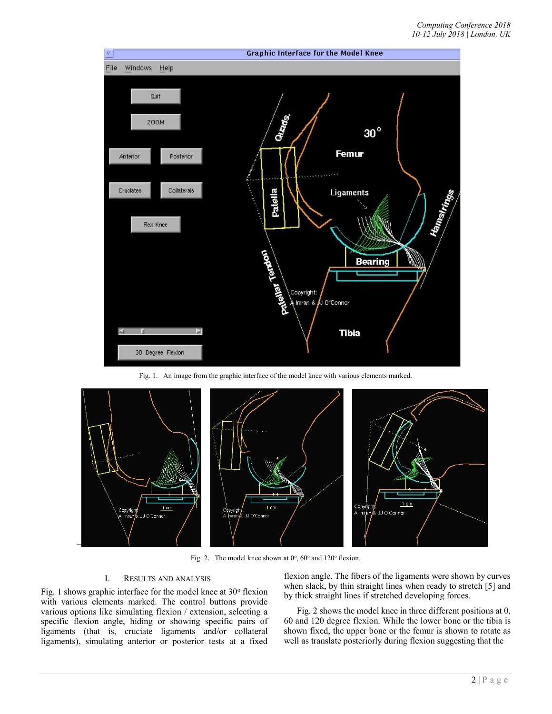

Fig. 1. An image from the graphic interface of the model knee with various elements marked.



Fig. 2. The model knee shown at  $0^\circ$ ,  $60^\circ$  and  $120^\circ$  flexion.

# I. RESULTS AND ANALYSIS

Fig. 1 shows graphic interface for the model knee at 30° flexion with various elements marked. The control buttons provide various options like simulating flexion / extension, selecting a specific flexion angle, hiding or showing specific pairs of ligaments (that is, cruciate ligaments and/or collateral ligaments), simulating anterior or posterior tests at a fixed

flexion angle. The fibers of the ligaments were shown by curves when slack, by thin straight lines when ready to stretch [5] and by thick straight lines if stretched developing forces.

Fig. 2 shows the model knee in three different positions at 0, 60 and 120 degree flexion. While the lower bone or the tibia is shown fixed, the upper bone or the femur is shown to rotate as well as translate posteriorly during flexion suggesting that the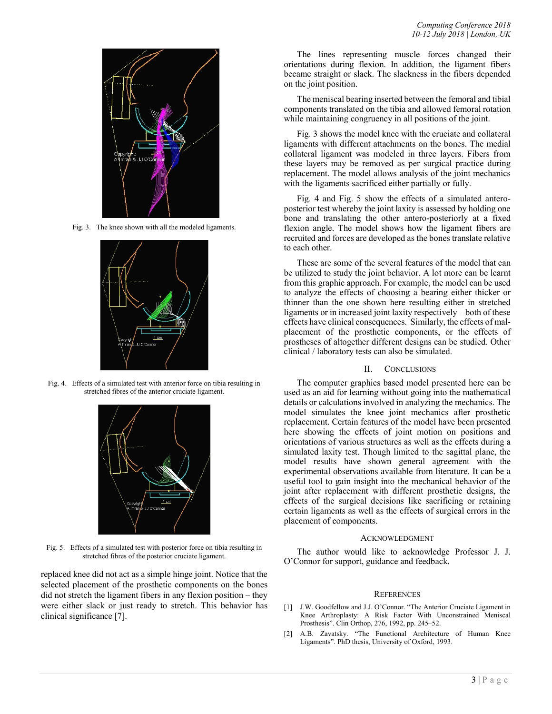

Fig. 3. The knee shown with all the modeled ligaments.



Fig. 4. Effects of a simulated test with anterior force on tibia resulting in stretched fibres of the anterior cruciate ligament.



Fig. 5. Effects of a simulated test with posterior force on tibia resulting in stretched fibres of the posterior cruciate ligament.

replaced knee did not act as a simple hinge joint. Notice that the selected placement of the prosthetic components on the bones did not stretch the ligament fibers in any flexion position – they were either slack or just ready to stretch. This behavior has clinical significance [7].

The lines representing muscle forces changed their orientations during flexion. In addition, the ligament fibers became straight or slack. The slackness in the fibers depended on the joint position.

The meniscal bearing inserted between the femoral and tibial components translated on the tibia and allowed femoral rotation while maintaining congruency in all positions of the joint.

Fig. 3 shows the model knee with the cruciate and collateral ligaments with different attachments on the bones. The medial collateral ligament was modeled in three layers. Fibers from these layers may be removed as per surgical practice during replacement. The model allows analysis of the joint mechanics with the ligaments sacrificed either partially or fully.

Fig. 4 and Fig. 5 show the effects of a simulated anteroposterior test whereby the joint laxity is assessed by holding one bone and translating the other antero-posteriorly at a fixed flexion angle. The model shows how the ligament fibers are recruited and forces are developed as the bones translate relative to each other.

These are some of the several features of the model that can be utilized to study the joint behavior. A lot more can be learnt from this graphic approach. For example, the model can be used to analyze the effects of choosing a bearing either thicker or thinner than the one shown here resulting either in stretched ligaments or in increased joint laxity respectively – both of these effects have clinical consequences. Similarly, the effects of malplacement of the prosthetic components, or the effects of prostheses of altogether different designs can be studied. Other clinical / laboratory tests can also be simulated.

## II. CONCLUSIONS

The computer graphics based model presented here can be used as an aid for learning without going into the mathematical details or calculations involved in analyzing the mechanics. The model simulates the knee joint mechanics after prosthetic replacement. Certain features of the model have been presented here showing the effects of joint motion on positions and orientations of various structures as well as the effects during a simulated laxity test. Though limited to the sagittal plane, the model results have shown general agreement with the experimental observations available from literature. It can be a useful tool to gain insight into the mechanical behavior of the joint after replacement with different prosthetic designs, the effects of the surgical decisions like sacrificing or retaining certain ligaments as well as the effects of surgical errors in the placement of components.

#### **ACKNOWLEDGMENT**

The author would like to acknowledge Professor J. J. O'Connor for support, guidance and feedback.

#### **REFERENCES**

- [1] J.W. Goodfellow and J.J. O'Connor. "The Anterior Cruciate Ligament in Knee Arthroplasty: A Risk Factor With Unconstrained Meniscal Prosthesis". Clin Orthop, 276, 1992, pp. 245–52.
- [2] A.B. Zavatsky. "The Functional Architecture of Human Knee Ligaments". PhD thesis, University of Oxford, 1993.